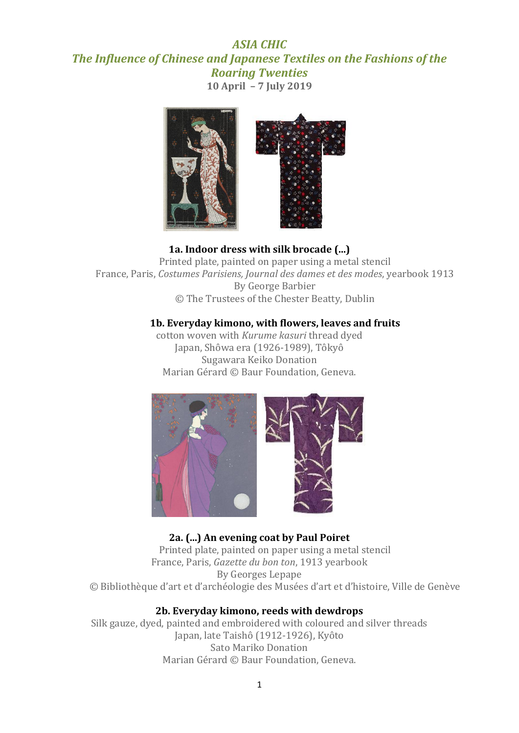# *ASIA CHIC The Influence of Chinese and Japanese Textiles on the Fashions of the Roaring Twenties* **10 April – 7 July 2019**



**1a. Indoor dress with silk brocade (...)** Printed plate, painted on paper using a metal stencil France, Paris, *Costumes Parisiens, Journal des dames et des modes*, yearbook 1913 By George Barbier © The Trustees of the Chester Beatty, Dublin

#### **1b. Everyday kimono, with flowers, leaves and fruits**

cotton woven with *Kurume kasuri* thread dyed Japan, Shôwa era (1926-1989), Tôkyô Sugawara Keiko Donation Marian Gérard © Baur Foundation, Geneva.



## **2a. (...) An evening coat by Paul Poiret**

Printed plate, painted on paper using a metal stencil France, Paris, *Gazette du bon ton*, 1913 yearbook By Georges Lepape © Bibliothèque d'art et d'archéologie des Musées d'art et d'histoire, Ville de Genève

#### **2b. Everyday kimono, reeds with dewdrops**

Silk gauze, dyed, painted and embroidered with coloured and silver threads Japan, late Taishô (1912-1926), Kyôto Sato Mariko Donation Marian Gérard © Baur Foundation, Geneva.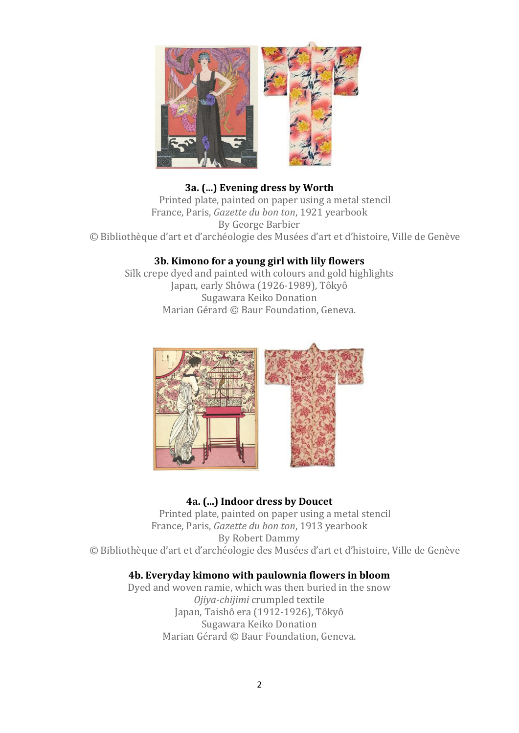

## **3a. (...) Evening dress by Worth**

Printed plate, painted on paper using a metal stencil France, Paris, *Gazette du bon ton*, 1921 yearbook By George Barbier © Bibliothèque d'art et d'archéologie des Musées d'art et d'histoire, Ville de Genève

## **3b. Kimono for a young girl with lily flowers**

Silk crepe dyed and painted with colours and gold highlights Japan, early Shôwa (1926-1989), Tôkyô Sugawara Keiko Donation Marian Gérard © Baur Foundation, Geneva.



# **4a. (...) Indoor dress by Doucet**

Printed plate, painted on paper using a metal stencil France, Paris, *Gazette du bon ton*, 1913 yearbook By Robert Dammy © Bibliothèque d'art et d'archéologie des Musées d'art et d'histoire, Ville de Genève

## **4b. Everyday kimono with paulownia flowers in bloom**

Dyed and woven ramie, which was then buried in the snow *Ojiya-chijimi* crumpled textile Japan, Taishô era (1912-1926), Tôkyô Sugawara Keiko Donation Marian Gérard © Baur Foundation, Geneva.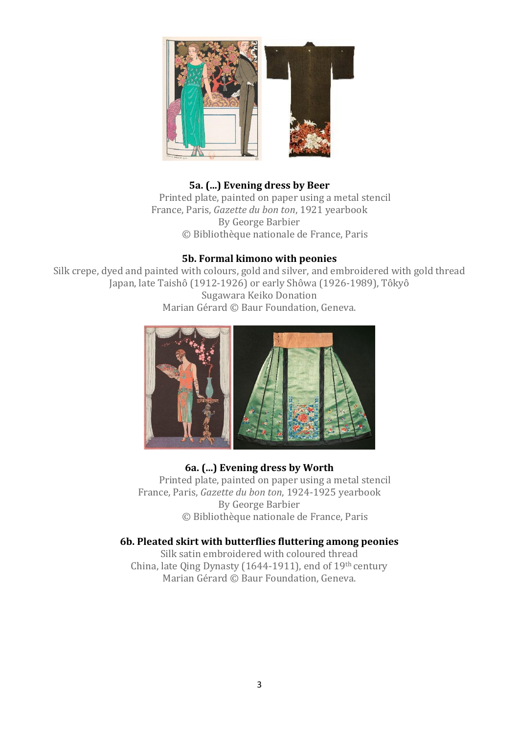

## **5a. (...) Evening dress by Beer**

Printed plate, painted on paper using a metal stencil France, Paris, *Gazette du bon ton*, 1921 yearbook By George Barbier © Bibliothèque nationale de France, Paris

#### **5b. Formal kimono with peonies**

Silk crepe, dyed and painted with colours, gold and silver, and embroidered with gold thread Japan, late Taishô (1912-1926) or early Shôwa (1926-1989), Tôkyô Sugawara Keiko Donation Marian Gérard © Baur Foundation, Geneva.



# **6a. (...) Evening dress by Worth**

Printed plate, painted on paper using a metal stencil France, Paris, *Gazette du bon ton*, 1924-1925 yearbook By George Barbier © Bibliothèque nationale de France, Paris

#### **6b. Pleated skirt with butterflies fluttering among peonies**

Silk satin embroidered with coloured thread China, late Qing Dynasty (1644-1911), end of 19th century Marian Gérard © Baur Foundation, Geneva.